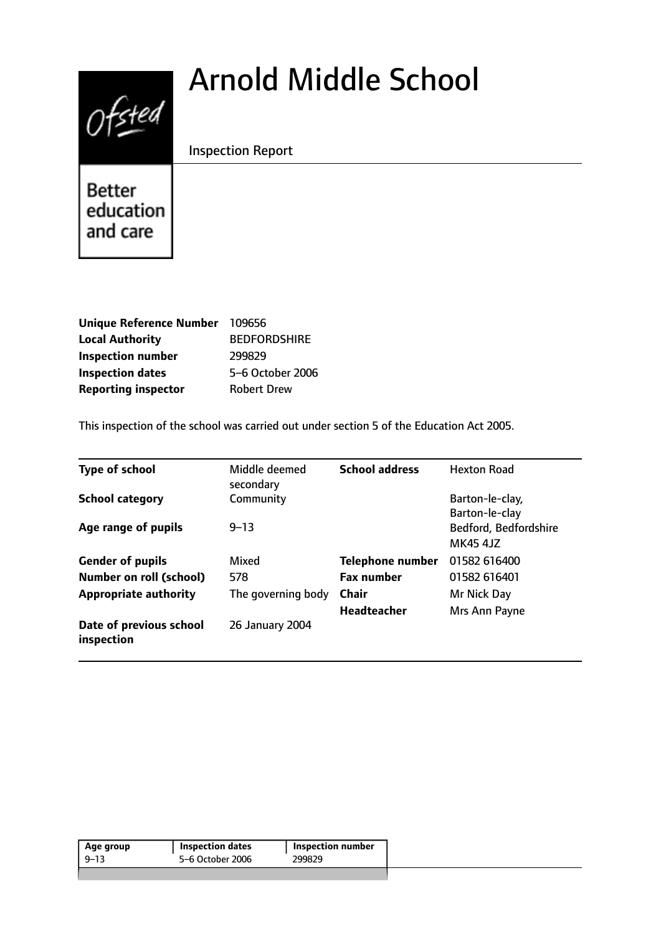# Arnold Middle School



Inspection Report

Better education and care

| <b>Unique Reference Number</b> | 109656              |
|--------------------------------|---------------------|
| <b>Local Authority</b>         | <b>BEDFORDSHIRE</b> |
| <b>Inspection number</b>       | 299829              |
| <b>Inspection dates</b>        | 5-6 October 2006    |
| <b>Reporting inspector</b>     | <b>Robert Drew</b>  |

This inspection of the school was carried out under section 5 of the Education Act 2005.

| <b>Type of school</b>                 | Middle deemed<br>secondary | <b>School address</b>   | <b>Hexton Road</b>                       |
|---------------------------------------|----------------------------|-------------------------|------------------------------------------|
| <b>School category</b>                | Community                  |                         | Barton-le-clay,<br>Barton-le-clay        |
| Age range of pupils                   | $9 - 13$                   |                         | Bedford, Bedfordshire<br><b>MK45 4JZ</b> |
| <b>Gender of pupils</b>               | Mixed                      | <b>Telephone number</b> | 01582 616400                             |
| <b>Number on roll (school)</b>        | 578                        | <b>Fax number</b>       | 01582 616401                             |
| <b>Appropriate authority</b>          | The governing body         | Chair                   | Mr Nick Day                              |
|                                       |                            | <b>Headteacher</b>      | Mrs Ann Payne                            |
| Date of previous school<br>inspection | 26 January 2004            |                         |                                          |

| Age group | <b>Inspection dates</b> | Inspection number |
|-----------|-------------------------|-------------------|
| $9 - 13$  | 5–6 October 2006        | 299829            |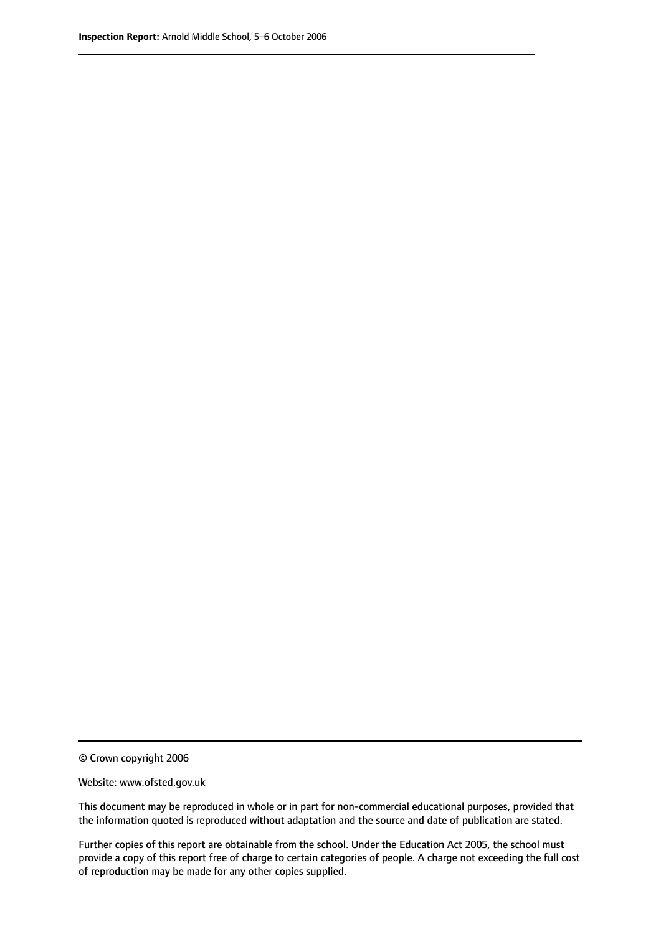© Crown copyright 2006

Website: www.ofsted.gov.uk

This document may be reproduced in whole or in part for non-commercial educational purposes, provided that the information quoted is reproduced without adaptation and the source and date of publication are stated.

Further copies of this report are obtainable from the school. Under the Education Act 2005, the school must provide a copy of this report free of charge to certain categories of people. A charge not exceeding the full cost of reproduction may be made for any other copies supplied.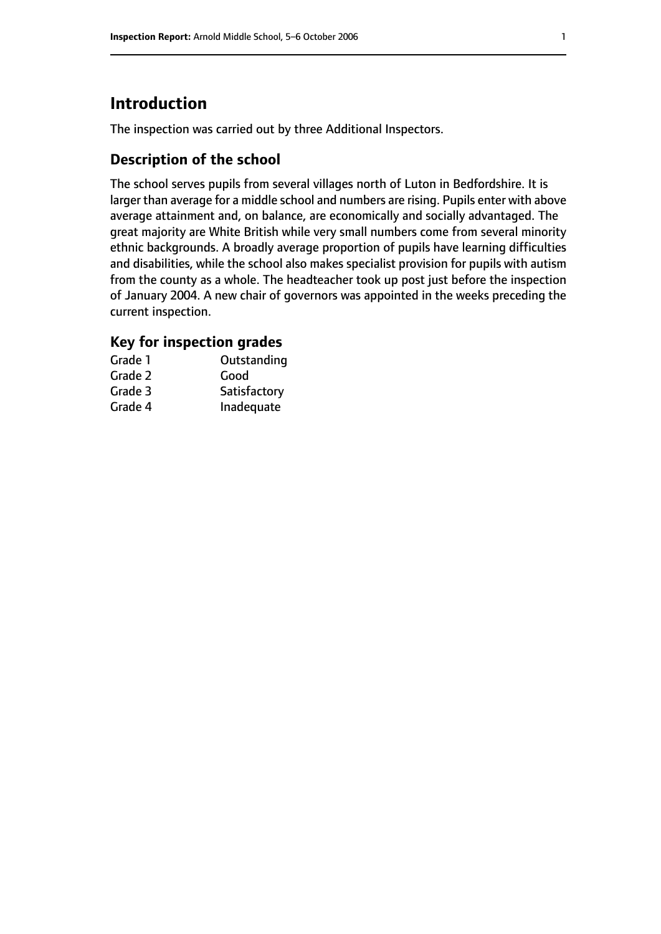# **Introduction**

The inspection was carried out by three Additional Inspectors.

## **Description of the school**

The school serves pupils from several villages north of Luton in Bedfordshire. It is larger than average for a middle school and numbers are rising. Pupils enter with above average attainment and, on balance, are economically and socially advantaged. The great majority are White British while very small numbers come from several minority ethnic backgrounds. A broadly average proportion of pupils have learning difficulties and disabilities, while the school also makes specialist provision for pupils with autism from the county as a whole. The headteacher took up post just before the inspection of January 2004. A new chair of governors was appointed in the weeks preceding the current inspection.

## **Key for inspection grades**

| Grade 1 | Outstanding  |
|---------|--------------|
| Grade 2 | Good         |
| Grade 3 | Satisfactory |
| Grade 4 | Inadequate   |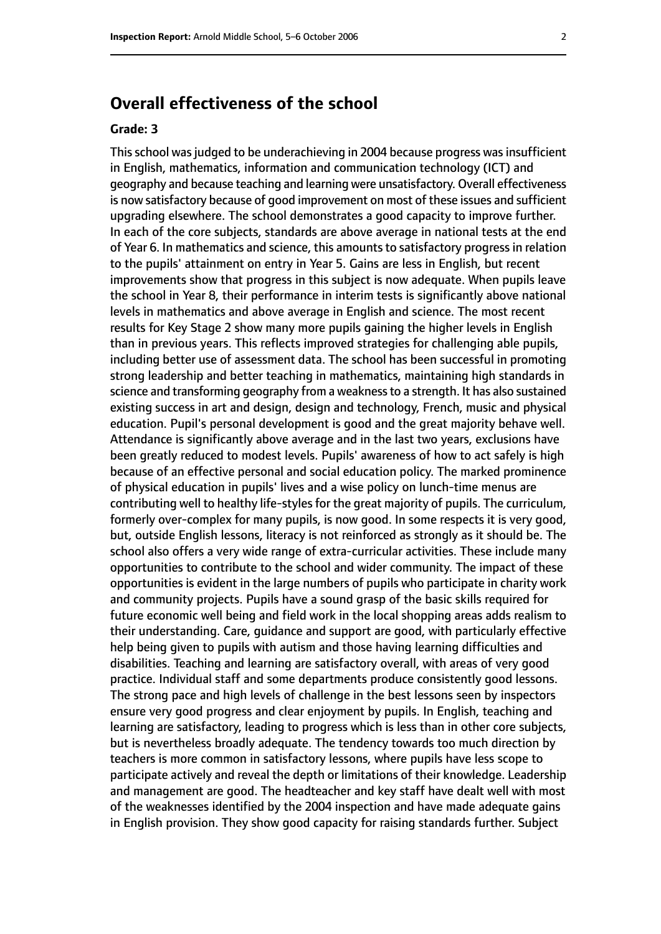# **Overall effectiveness of the school**

#### **Grade: 3**

This school was judged to be underachieving in 2004 because progress was insufficient in English, mathematics, information and communication technology (ICT) and geography and because teaching and learning were unsatisfactory. Overall effectiveness is now satisfactory because of good improvement on most of these issues and sufficient upgrading elsewhere. The school demonstrates a good capacity to improve further. In each of the core subjects, standards are above average in national tests at the end of Year 6. In mathematics and science, this amounts to satisfactory progress in relation to the pupils' attainment on entry in Year 5. Gains are less in English, but recent improvements show that progress in this subject is now adequate. When pupils leave the school in Year 8, their performance in interim tests is significantly above national levels in mathematics and above average in English and science. The most recent results for Key Stage 2 show many more pupils gaining the higher levels in English than in previous years. This reflects improved strategies for challenging able pupils, including better use of assessment data. The school has been successful in promoting strong leadership and better teaching in mathematics, maintaining high standards in science and transforming geography from a weaknessto a strength. It has also sustained existing success in art and design, design and technology, French, music and physical education. Pupil's personal development is good and the great majority behave well. Attendance is significantly above average and in the last two years, exclusions have been greatly reduced to modest levels. Pupils' awareness of how to act safely is high because of an effective personal and social education policy. The marked prominence of physical education in pupils' lives and a wise policy on lunch-time menus are contributing well to healthy life-styles for the great majority of pupils. The curriculum, formerly over-complex for many pupils, is now good. In some respects it is very good, but, outside English lessons, literacy is not reinforced as strongly as it should be. The school also offers a very wide range of extra-curricular activities. These include many opportunities to contribute to the school and wider community. The impact of these opportunities is evident in the large numbers of pupils who participate in charity work and community projects. Pupils have a sound grasp of the basic skills required for future economic well being and field work in the local shopping areas adds realism to their understanding. Care, guidance and support are good, with particularly effective help being given to pupils with autism and those having learning difficulties and disabilities. Teaching and learning are satisfactory overall, with areas of very good practice. Individual staff and some departments produce consistently good lessons. The strong pace and high levels of challenge in the best lessons seen by inspectors ensure very good progress and clear enjoyment by pupils. In English, teaching and learning are satisfactory, leading to progress which is less than in other core subjects, but is nevertheless broadly adequate. The tendency towards too much direction by teachers is more common in satisfactory lessons, where pupils have less scope to participate actively and reveal the depth or limitations of their knowledge. Leadership and management are good. The headteacher and key staff have dealt well with most of the weaknesses identified by the 2004 inspection and have made adequate gains in English provision. They show good capacity for raising standards further. Subject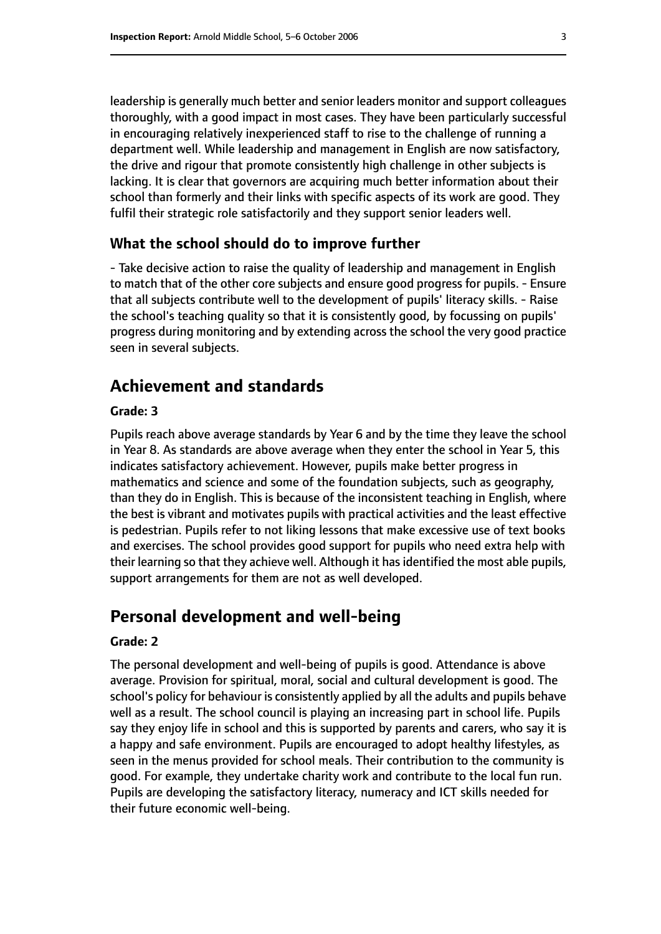leadership is generally much better and senior leaders monitor and support colleagues thoroughly, with a good impact in most cases. They have been particularly successful in encouraging relatively inexperienced staff to rise to the challenge of running a department well. While leadership and management in English are now satisfactory, the drive and rigour that promote consistently high challenge in other subjects is lacking. It is clear that governors are acquiring much better information about their school than formerly and their links with specific aspects of its work are good. They fulfil their strategic role satisfactorily and they support senior leaders well.

### **What the school should do to improve further**

- Take decisive action to raise the quality of leadership and management in English to match that of the other core subjects and ensure good progress for pupils. - Ensure that all subjects contribute well to the development of pupils' literacy skills. - Raise the school's teaching quality so that it is consistently good, by focussing on pupils' progress during monitoring and by extending across the school the very good practice seen in several subjects.

# **Achievement and standards**

#### **Grade: 3**

Pupils reach above average standards by Year 6 and by the time they leave the school in Year 8. As standards are above average when they enter the school in Year 5, this indicates satisfactory achievement. However, pupils make better progress in mathematics and science and some of the foundation subjects, such as geography, than they do in English. This is because of the inconsistent teaching in English, where the best is vibrant and motivates pupils with practical activities and the least effective is pedestrian. Pupils refer to not liking lessons that make excessive use of text books and exercises. The school provides good support for pupils who need extra help with their learning so that they achieve well. Although it has identified the most able pupils, support arrangements for them are not as well developed.

## **Personal development and well-being**

#### **Grade: 2**

The personal development and well-being of pupils is good. Attendance is above average. Provision for spiritual, moral, social and cultural development is good. The school's policy for behaviour is consistently applied by all the adults and pupils behave well as a result. The school council is playing an increasing part in school life. Pupils say they enjoy life in school and this is supported by parents and carers, who say it is a happy and safe environment. Pupils are encouraged to adopt healthy lifestyles, as seen in the menus provided for school meals. Their contribution to the community is good. For example, they undertake charity work and contribute to the local fun run. Pupils are developing the satisfactory literacy, numeracy and ICT skills needed for their future economic well-being.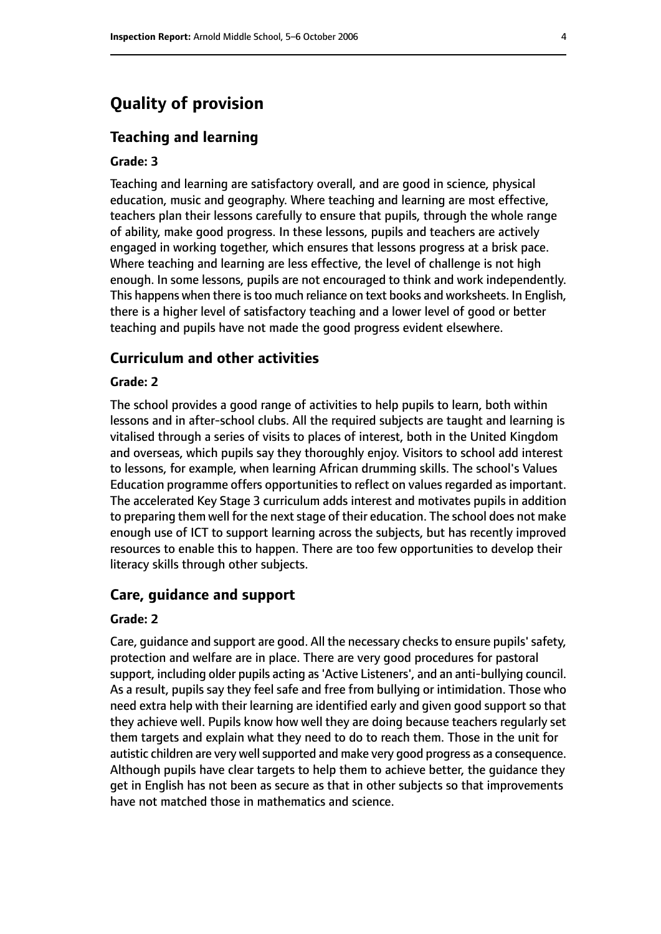# **Quality of provision**

## **Teaching and learning**

#### **Grade: 3**

Teaching and learning are satisfactory overall, and are good in science, physical education, music and geography. Where teaching and learning are most effective, teachers plan their lessons carefully to ensure that pupils, through the whole range of ability, make good progress. In these lessons, pupils and teachers are actively engaged in working together, which ensures that lessons progress at a brisk pace. Where teaching and learning are less effective, the level of challenge is not high enough. In some lessons, pupils are not encouraged to think and work independently. This happens when there is too much reliance on text books and worksheets. In English, there is a higher level of satisfactory teaching and a lower level of good or better teaching and pupils have not made the good progress evident elsewhere.

## **Curriculum and other activities**

#### **Grade: 2**

The school provides a good range of activities to help pupils to learn, both within lessons and in after-school clubs. All the required subjects are taught and learning is vitalised through a series of visits to places of interest, both in the United Kingdom and overseas, which pupils say they thoroughly enjoy. Visitors to school add interest to lessons, for example, when learning African drumming skills. The school's Values Education programme offers opportunities to reflect on values regarded as important. The accelerated Key Stage 3 curriculum adds interest and motivates pupils in addition to preparing them well for the next stage of their education. The school does not make enough use of ICT to support learning across the subjects, but has recently improved resources to enable this to happen. There are too few opportunities to develop their literacy skills through other subjects.

#### **Care, guidance and support**

#### **Grade: 2**

Care, quidance and support are good. All the necessary checks to ensure pupils' safety, protection and welfare are in place. There are very good procedures for pastoral support, including older pupils acting as'Active Listeners', and an anti-bullying council. As a result, pupils say they feel safe and free from bullying or intimidation. Those who need extra help with their learning are identified early and given good support so that they achieve well. Pupils know how well they are doing because teachers regularly set them targets and explain what they need to do to reach them. Those in the unit for autistic children are very well supported and make very good progress as a consequence. Although pupils have clear targets to help them to achieve better, the guidance they get in English has not been as secure as that in other subjects so that improvements have not matched those in mathematics and science.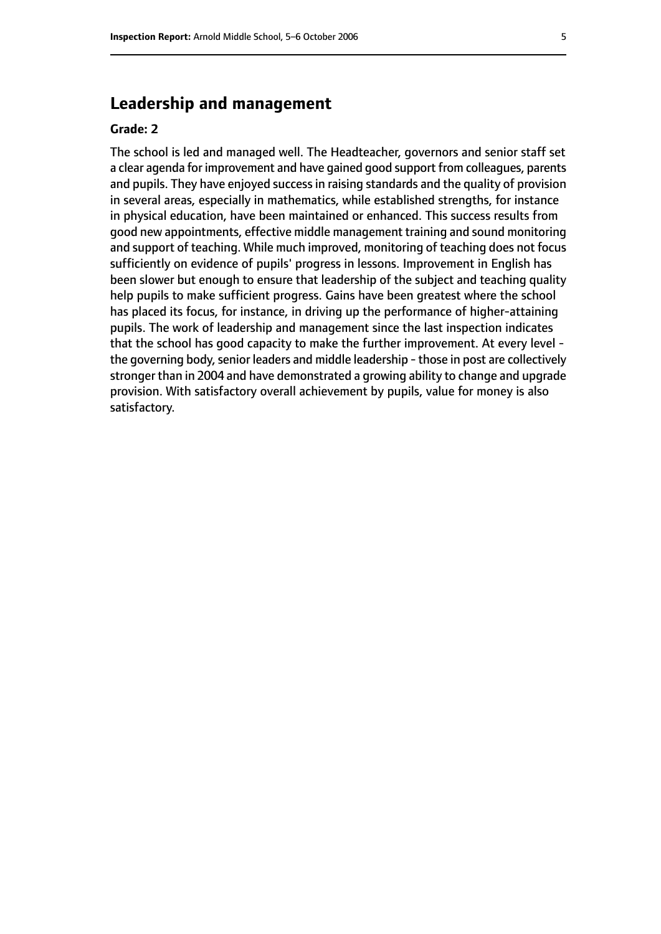## **Leadership and management**

#### **Grade: 2**

The school is led and managed well. The Headteacher, governors and senior staff set a clear agenda for improvement and have gained good support from colleagues, parents and pupils. They have enjoyed success in raising standards and the quality of provision in several areas, especially in mathematics, while established strengths, for instance in physical education, have been maintained or enhanced. This success results from good new appointments, effective middle management training and sound monitoring and support of teaching. While much improved, monitoring of teaching does not focus sufficiently on evidence of pupils' progress in lessons. Improvement in English has been slower but enough to ensure that leadership of the subject and teaching quality help pupils to make sufficient progress. Gains have been greatest where the school has placed its focus, for instance, in driving up the performance of higher-attaining pupils. The work of leadership and management since the last inspection indicates that the school has good capacity to make the further improvement. At every level the governing body, senior leaders and middle leadership - those in post are collectively stronger than in 2004 and have demonstrated a growing ability to change and upgrade provision. With satisfactory overall achievement by pupils, value for money is also satisfactory.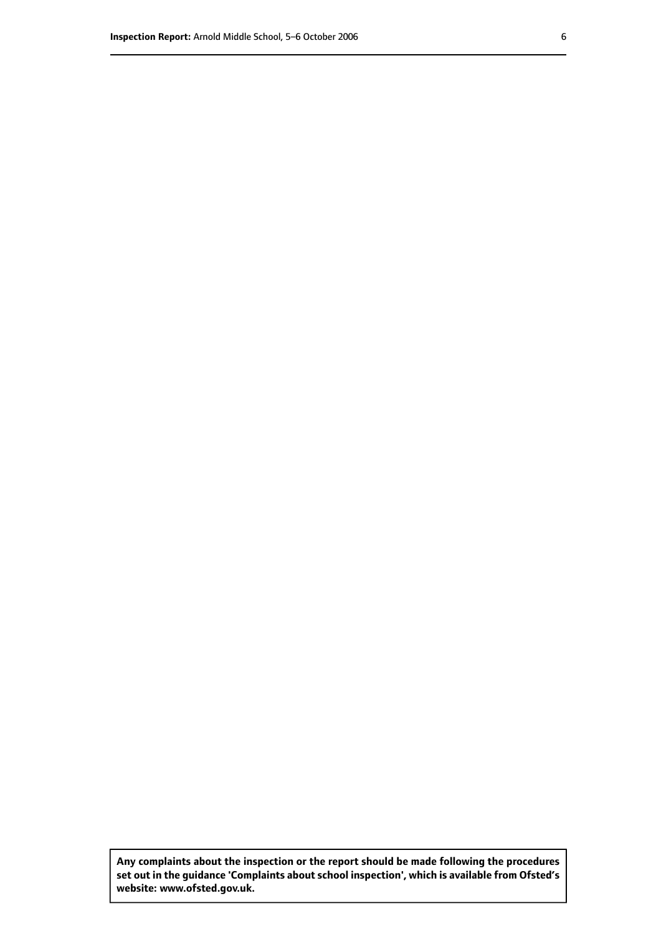**Any complaints about the inspection or the report should be made following the procedures set out inthe guidance 'Complaints about school inspection', whichis available from Ofsted's website: www.ofsted.gov.uk.**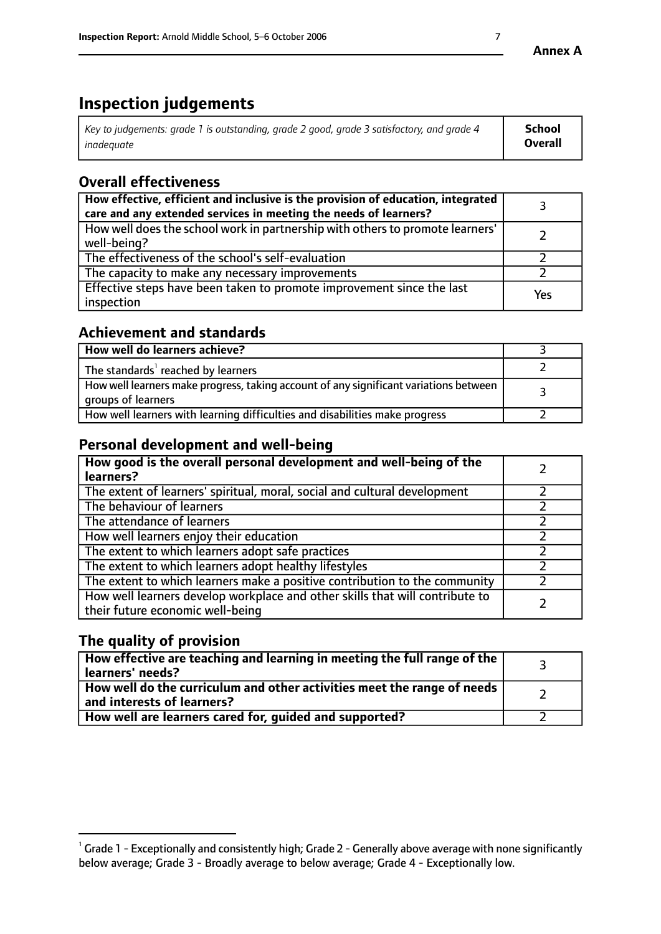# **Inspection judgements**

| $^{\circ}$ Key to judgements: grade 1 is outstanding, grade 2 good, grade 3 satisfactory, and grade 4 $^{\circ}$ | School         |
|------------------------------------------------------------------------------------------------------------------|----------------|
| inadequate                                                                                                       | <b>Overall</b> |

# **Overall effectiveness**

| How effective, efficient and inclusive is the provision of education, integrated<br>care and any extended services in meeting the needs of learners? |     |
|------------------------------------------------------------------------------------------------------------------------------------------------------|-----|
| How well does the school work in partnership with others to promote learners'<br>well-being?                                                         |     |
| The effectiveness of the school's self-evaluation                                                                                                    |     |
| The capacity to make any necessary improvements                                                                                                      |     |
| Effective steps have been taken to promote improvement since the last<br>inspection                                                                  | Yes |

## **Achievement and standards**

| How well do learners achieve?                                                                               |  |
|-------------------------------------------------------------------------------------------------------------|--|
| The standards <sup>1</sup> reached by learners                                                              |  |
| How well learners make progress, taking account of any significant variations between<br>groups of learners |  |
| How well learners with learning difficulties and disabilities make progress                                 |  |

# **Personal development and well-being**

| How good is the overall personal development and well-being of the<br>learners?                                  |  |
|------------------------------------------------------------------------------------------------------------------|--|
| The extent of learners' spiritual, moral, social and cultural development                                        |  |
| The behaviour of learners                                                                                        |  |
| The attendance of learners                                                                                       |  |
| How well learners enjoy their education                                                                          |  |
| The extent to which learners adopt safe practices                                                                |  |
| The extent to which learners adopt healthy lifestyles                                                            |  |
| The extent to which learners make a positive contribution to the community                                       |  |
| How well learners develop workplace and other skills that will contribute to<br>their future economic well-being |  |

# **The quality of provision**

| $\mid$ How effective are teaching and learning in meeting the full range of the $\mid$<br>learners' needs? |  |
|------------------------------------------------------------------------------------------------------------|--|
| How well do the curriculum and other activities meet the range of needs<br>and interests of learners?      |  |
| How well are learners cared for, guided and supported?                                                     |  |

 $^1$  Grade 1 - Exceptionally and consistently high; Grade 2 - Generally above average with none significantly below average; Grade 3 - Broadly average to below average; Grade 4 - Exceptionally low.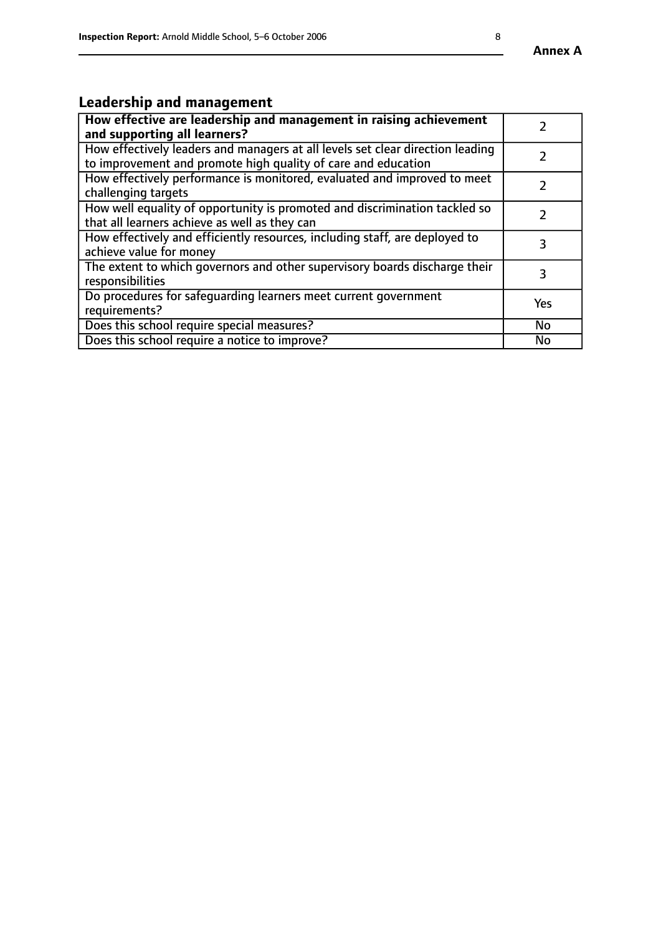# **Leadership and management**

| How effective are leadership and management in raising achievement<br>and supporting all learners?                                              |     |
|-------------------------------------------------------------------------------------------------------------------------------------------------|-----|
| How effectively leaders and managers at all levels set clear direction leading<br>to improvement and promote high quality of care and education |     |
| How effectively performance is monitored, evaluated and improved to meet<br>challenging targets                                                 |     |
| How well equality of opportunity is promoted and discrimination tackled so<br>that all learners achieve as well as they can                     |     |
| How effectively and efficiently resources, including staff, are deployed to<br>achieve value for money                                          | З   |
| The extent to which governors and other supervisory boards discharge their<br>responsibilities                                                  | 3   |
| Do procedures for safequarding learners meet current government<br>requirements?                                                                | Yes |
| Does this school require special measures?                                                                                                      | No  |
| Does this school require a notice to improve?                                                                                                   | No  |